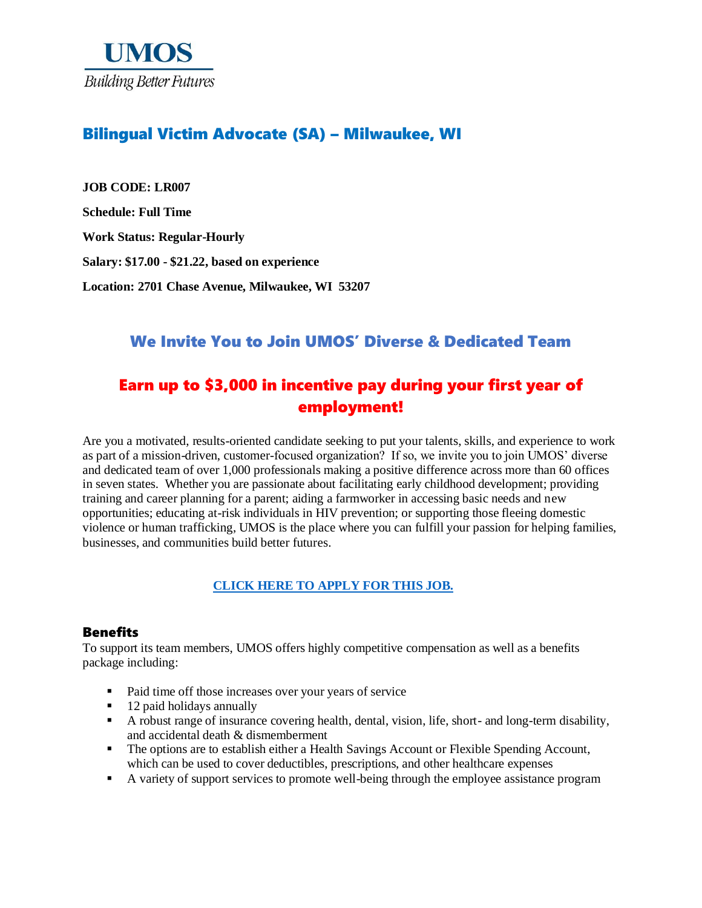

### Bilingual Victim Advocate (SA) – Milwaukee, WI

**JOB CODE: LR007 Schedule: Full Time Work Status: Regular-Hourly Salary: \$17.00 - \$21.22, based on experience Location: 2701 Chase Avenue, Milwaukee, WI 53207**

## We Invite You to Join UMOS' Diverse & Dedicated Team

# Earn up to \$3,000 in incentive pay during your first year of employment!

Are you a motivated, results-oriented candidate seeking to put your talents, skills, and experience to work as part of a mission-driven, customer-focused organization? If so, we invite you to join UMOS' diverse and dedicated team of over 1,000 professionals making a positive difference across more than 60 offices in seven states. Whether you are passionate about facilitating early childhood development; providing training and career planning for a parent; aiding a farmworker in accessing basic needs and new opportunities; educating at-risk individuals in HIV prevention; or supporting those fleeing domestic violence or human trafficking, UMOS is the place where you can fulfill your passion for helping families, businesses, and communities build better futures.

### **[CLICK HERE TO APPLY FOR THIS JOB.](https://www.umos.org/job-application/)**

#### Benefits

To support its team members, UMOS offers highly competitive compensation as well as a benefits package including:

- Paid time off those increases over your years of service
- 12 paid holidays annually
- A robust range of insurance covering health, dental, vision, life, short- and long-term disability, and accidental death & dismemberment
- The options are to establish either a Health Savings Account or Flexible Spending Account, which can be used to cover deductibles, prescriptions, and other healthcare expenses
- A variety of support services to promote well-being through the employee assistance program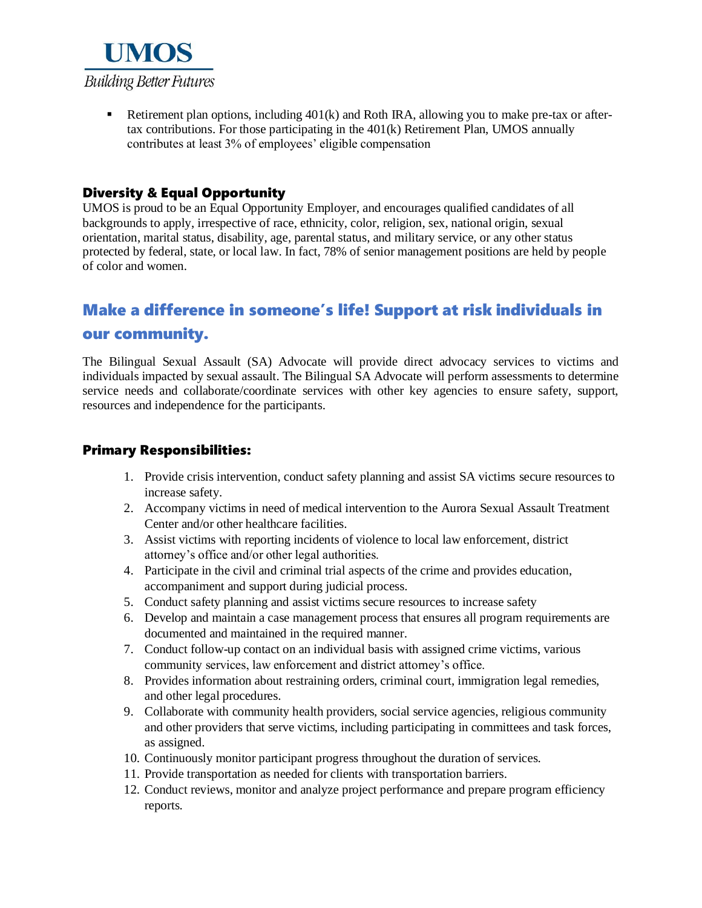

Exterment plan options, including  $401(k)$  and Roth IRA, allowing you to make pre-tax or aftertax contributions. For those participating in the 401(k) Retirement Plan, UMOS annually contributes at least 3% of employees' eligible compensation

### Diversity & Equal Opportunity

UMOS is proud to be an Equal Opportunity Employer, and encourages qualified candidates of all backgrounds to apply, irrespective of race, ethnicity, color, religion, sex, national origin, sexual orientation, marital status, disability, age, parental status, and military service, or any other status protected by federal, state, or local law. In fact, 78% of senior management positions are held by people of color and women.

## Make a difference in someone's life! Support at risk individuals in

#### our community.

The Bilingual Sexual Assault (SA) Advocate will provide direct advocacy services to victims and individuals impacted by sexual assault. The Bilingual SA Advocate will perform assessments to determine service needs and collaborate/coordinate services with other key agencies to ensure safety, support, resources and independence for the participants.

### Primary Responsibilities:

- 1. Provide crisis intervention, conduct safety planning and assist SA victims secure resources to increase safety.
- 2. Accompany victims in need of medical intervention to the Aurora Sexual Assault Treatment Center and/or other healthcare facilities.
- 3. Assist victims with reporting incidents of violence to local law enforcement, district attorney's office and/or other legal authorities.
- 4. Participate in the civil and criminal trial aspects of the crime and provides education, accompaniment and support during judicial process.
- 5. Conduct safety planning and assist victims secure resources to increase safety
- 6. Develop and maintain a case management process that ensures all program requirements are documented and maintained in the required manner.
- 7. Conduct follow-up contact on an individual basis with assigned crime victims, various community services, law enforcement and district attorney's office.
- 8. Provides information about restraining orders, criminal court, immigration legal remedies, and other legal procedures.
- 9. Collaborate with community health providers, social service agencies, religious community and other providers that serve victims, including participating in committees and task forces, as assigned.
- 10. Continuously monitor participant progress throughout the duration of services.
- 11. Provide transportation as needed for clients with transportation barriers.
- 12. Conduct reviews, monitor and analyze project performance and prepare program efficiency reports.